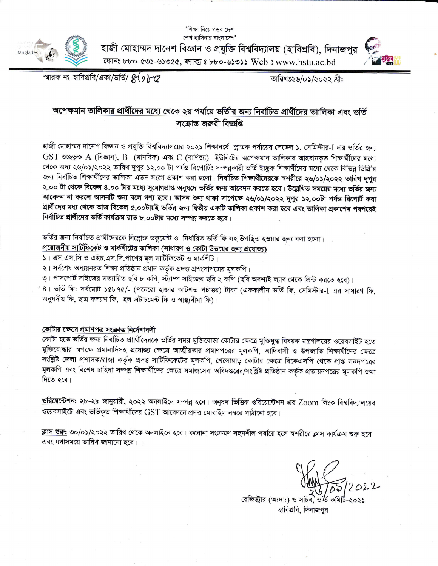'শিক্ষা নিয়ে গড়ব দেশ শেখ হাসিনার বাংলাদেশ'



হাজী মোহাম্মদ দানেশ বিজ্ঞান ও প্রযুক্তি বিশ্ববিদ্যালয় (হাবিপ্রবি), দিনাজপুর ফোনঃ ৮৮০-৫৩১-৬১৩৫৫, ফ্যাক্স ঃ ৮৮০-৬১৩১১ Web ঃ www.hstu.ac.bd



স্মারক নং-হাবিপ্রবি/একা/ভর্তি/  $\mathcal{E}(\jmath\,\mathcal{H}\,\mathcal{Q})$ 

তারিখঃ২৬/০১/২০২২ খ্রী:

### অপেক্ষমান তালিকার প্রার্থীদের মধ্যে থেকে ২য় পর্যায়ে ভর্তি'র জন্য নির্বাচিত প্রার্থীদের তাালিকা এবং ভর্তি সংক্ৰান্ত জৰুৱী বিজ্ঞপ্তি

হাজী মোহাম্মদ দানেশ বিজ্ঞান ও প্রযুক্তি বিশ্ববিদ্যালয়ের ২০২১ শিক্ষাবর্ষে স্নাতক পর্যায়ের লেভেল ১, সেমিস্টার-I এর ভর্তির জন্য  $\operatorname{GST}$  গুচ্ছভুক্ত A (বিজ্ঞান),  $\operatorname{B}$  (মানবিক) এবং  $\operatorname{C}$  (বাণিজ্য) ইউনিটের অপেক্ষমান তালিকার আহবানকৃত শিক্ষার্থীদের মধ্যে থেকে অদ্য ২৬/০১/২০২২ তারিখ দুপুর ১২.০০ টা পর্যন্ত রিপোর্টিং সম্পন্নকারী ভর্তি ইচ্ছুক শিক্ষার্থীদের মধ্যে থেকে বিভিন্ন ডিগ্রি'র জন্য নির্বাচিত শিক্ষার্থীদের তালিকা এতদ সংগে প্রকাশ করা হলো। নির্বাচিত শিক্ষার্থীদেরকে স্বশরীরে ২৬/০১/২০২২ তারিখ দুপুর ২.০০ টা থেকে বিকেল ৪.০০ টার মধ্যে সুযোগপ্রাপ্ত অনুষদে ভর্তির জন্য আবেদন করতে হবে। উল্লেখিত সময়ের মধ্যে ভর্তির জন্য আবেদন না করলে আসনটি শুন্য বলে গণ্য হবে। আসন শুন্য থাকা সাপেক্ষে ২৬/০১/২০২২ দুপুর ১২.০০টা পর্যন্ত রিপোর্ট করা প্রার্থীদের মধ্য থেকে আজ বিকেল ৫.০০টায়ই ভর্তির জন্য দ্বিতীয় একটি তালিকা প্রকাশ করা হবে এবং তালিকা প্রকাশের পরপরেই নির্বাচিত প্রার্থীদের ভর্তি কার্যক্রম রাত ৮.০০টার মধ্যে সম্পন্ন করতে হবে।

ভর্তির জন্য নির্বাচিত প্রার্থীদেরকে নিম্লোক্ত ডকুমেন্ট ও নির্ধারিত ভর্তি ফি সহ উপস্থিত হওয়ার জন্য বলা হলো।

প্রয়োজনীয় সার্টিফিকেট ও মার্কশীটের তালিকা (সাধারণ ও কোটা উভয়ের জন্য প্রযোজ্য)

১। এস.এস.সি ও এইচ.এস.সি.পাশের মূল সার্টিফিকেট ও মার্কশীট।

২। সর্বশেষ অধ্যয়নরত শিক্ষা প্রতিষ্ঠান প্রধান কর্তৃক প্রদত্ত প্রশংসাপত্রের মূলকপি।

৩। পাসপোর্ট সাইজের সত্যায়িত ছবি ৮ কপি, স্ট্যাম্প সাইজের ছবি ২ কপি (ছবি অবশ্যই ল্যাব থেকে প্রিন্ট করতে হবে)।

৪। ভর্তি ফি: সর্বমোট ১৫৮৭৫/- (পনেরো হাজার আটশত পচাঁত্তর) টাকা (এককালীন ভর্তি ফি, সেমিস্টার-I এর সাধারণ ফি, অনুষদীয় ফি, ছাত্র কল্যাণ ফি, হল এটাচমেন্ট ফি ও স্বাস্থ্যবীমা ফি)।

#### কোটার ক্ষেত্রে প্রমাণপত্র সংক্রান্ত নির্দেশাবলী

কোটা হতে ভর্তির জন্য নির্বাচিত প্রাার্থীদেরকে ভর্তির সময় মুক্তিযোদ্ধা কোটার ক্ষেত্রে মুক্তিযুদ্ধ বিষয়ক মন্ত্রণালয়ের ওয়েবসাইট হতে মুক্তিযোদ্ধার স্বপক্ষে প্রমানাদিসহ প্রযোজ্য ক্ষেত্রে আত্মীয়তার প্রমাণপত্রের মূলকপি, আদিবাসী ও উপজাতি শিক্ষার্থীদের ক্ষেত্রে সংশ্লিষ্ট জেলা প্রশাসক/রাজা কর্তৃক প্রদত্ত সার্টিফিকেটের মূলকপি, খেলোয়াড় কোটার ক্ষেত্রে বিকেএসপি থেকে প্রাপ্ত সনদপত্রের মূলকপি এবং বিশেষ চাহিদা সম্পন্ন শিক্ষার্থীদের ক্ষেত্রে সমাজসেবা অধিদপ্তরের/সংশ্লিষ্ট প্রতিষ্ঠান কর্তৃক প্রত্যয়নপত্রের মূলকপি জমা দিতে হবে।

<u>ওরিয়েন্টেশন</u>: ২৮-২৯ জানুয়ারী, ২০২২ অনলাইনে সম্পন্ন হবে। অনুষদ ভিত্তিক ওরিয়েন্টেশন এর Zoom লিংক বিশ্ববিদ্যালয়ের ওয়েবসাইটে এবং ভর্তিকৃত শিক্ষার্থীদের  $\operatorname{GST}$  আবেদনে প্রদত্ত মোবাইল নম্বরে পাঠানো হবে।

<u>ক্লাস শুরু:</u> ৩০/০১/২০২২ তারিখ থেকে অনলাইনে হবে। করোনা সংক্রমণ সহনশীল পর্যায়ে হলে স্বশরীরে ক্লাস কার্যক্রম শুরু হবে এবং যথাসময়ে তারিখ জানানো হবে। ।

রেজিস্ট্রার (অ:দা:) ও সচিব, হাবিপ্রবি, দিনাজপর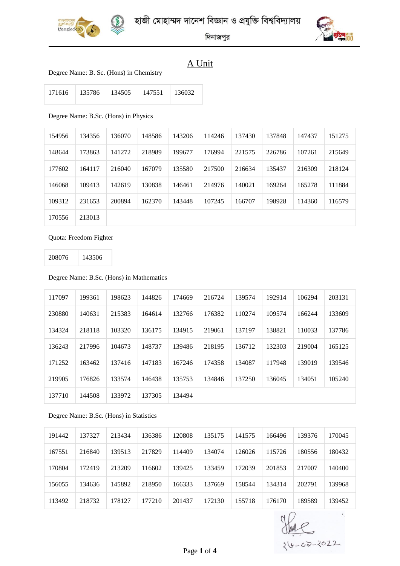



দিনাজপুর

### A Unit

#### Degree Name: B. Sc. (Hons) in Chemistry

| 171616 | 135786 | 134505 | 147551 | 136032 |
|--------|--------|--------|--------|--------|
|        |        |        |        |        |

#### Degree Name: B.Sc. (Hons) in Physics

| 154956 | 134356 | 136070 | 148586 | 143206 | 114246 | 137430 | 137848 | 147437 | 151275 |
|--------|--------|--------|--------|--------|--------|--------|--------|--------|--------|
| 148644 | 173863 | 141272 | 218989 | 199677 | 176994 | 221575 | 226786 | 107261 | 215649 |
| 177602 | 164117 | 216040 | 167079 | 135580 | 217500 | 216634 | 135437 | 216309 | 218124 |
| 146068 | 109413 | 142619 | 130838 | 146461 | 214976 | 140021 | 169264 | 165278 | 111884 |
| 109312 | 231653 | 200894 | 162370 | 143448 | 107245 | 166707 | 198928 | 114360 | 116579 |
| 170556 | 213013 |        |        |        |        |        |        |        |        |

#### Quota: Freedom Fighter

143506

#### Degree Name: B.Sc. (Hons) in Mathematics

| 117097 | 199361 | 198623 | 144826 | 174669 | 216724 | 139574 | 192914 | 106294 | 203131 |
|--------|--------|--------|--------|--------|--------|--------|--------|--------|--------|
| 230880 | 140631 | 215383 | 164614 | 132766 | 176382 | 110274 | 109574 | 166244 | 133609 |
| 134324 | 218118 | 103320 | 136175 | 134915 | 219061 | 137197 | 138821 | 110033 | 137786 |
| 136243 | 217996 | 104673 | 148737 | 139486 | 218195 | 136712 | 132303 | 219004 | 165125 |
| 171252 | 163462 | 137416 | 147183 | 167246 | 174358 | 134087 | 117948 | 139019 | 139546 |
| 219905 | 176826 | 133574 | 146438 | 135753 | 134846 | 137250 | 136045 | 134051 | 105240 |
| 137710 | 144508 | 133972 | 137305 | 134494 |        |        |        |        |        |

#### Degree Name: B.Sc. (Hons) in Statistics

| 191442 | 137327 | 213434 | 136386 | 120808 | 135175 | 141575 | 166496 | 139376 | 170045 |
|--------|--------|--------|--------|--------|--------|--------|--------|--------|--------|
| 167551 | 216840 | 139513 | 217829 | 114409 | 134074 | 126026 | 115726 | 180556 | 180432 |
| 170804 | 172419 | 213209 | 116602 | 139425 | 133459 | 172039 | 201853 | 217007 | 140400 |
| 156055 | 134636 | 145892 | 218950 | 166333 | 137669 | 158544 | 134314 | 202791 | 139968 |
| 113492 | 218732 | 178127 | 177210 | 201437 | 172130 | 155718 | 176170 | 189589 | 139452 |

 $\hat{\mathbf{x}}$  $-62-2022$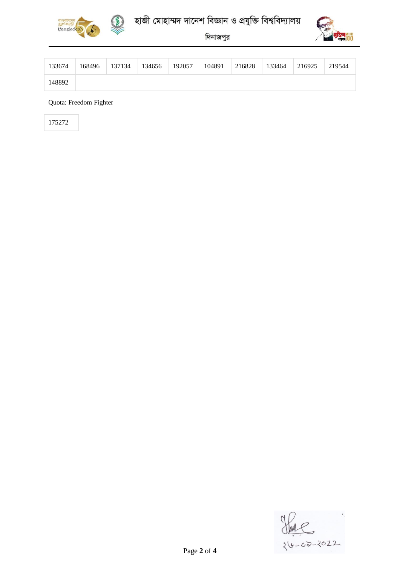



# হাজী মোহাম্মদ দানেশ বিজ্ঞান ও প্রযুক্তি বিশ্ববিদ্যালয়

দিনাজপুর



| 133674 | 168496 | 137134 | 134656 | 192057 | 104891 | 216828 | 133464 | 216925 | 219544 |
|--------|--------|--------|--------|--------|--------|--------|--------|--------|--------|
| 148892 |        |        |        |        |        |        |        |        |        |

Quota: Freedom Fighter

175272

 $\stackrel{2}{\smile}$  $26 - 02 - 2022$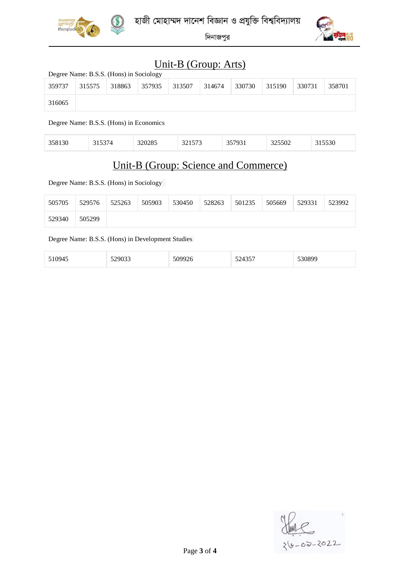



দিনাজপুর

## Unit-B (Group: Arts)

| Degree Name: B.S.S. (Hons) in Sociology |        |        |        |        |        |        |        |        |        |  |  |
|-----------------------------------------|--------|--------|--------|--------|--------|--------|--------|--------|--------|--|--|
| 359737                                  | 315575 | 318863 | 357935 | 313507 | 314674 | 330730 | 315190 | 330731 | 358701 |  |  |
| 316065                                  |        |        |        |        |        |        |        |        |        |  |  |

Degree Name: B.S.S. (Hons) in Economics

| $\sim$ $\sim$ | ____ | $\sim$<br>. | $- - -$<br>ں ، ب<br>----- | $\sim$ | $- - -$<br>$-2302$ | ----<br>טכי |
|---------------|------|-------------|---------------------------|--------|--------------------|-------------|
|               |      |             |                           |        |                    |             |

### Unit-B (Group: Science and Commerce)

Degree Name: B.S.S. (Hons) in Sociology

| 505705 | 529576 | 525263 | 505903 | 530450 | 528263 | 501235 | 505669 | 529331 | 523992 |
|--------|--------|--------|--------|--------|--------|--------|--------|--------|--------|
| 529340 | 505299 |        |        |        |        |        |        |        |        |

#### Degree Name: B.S.S. (Hons) in Development Studies

| 51094 <sup>2</sup><br>. <i>. .</i> | $\alpha$<br>$ -$ | $\sim$ $-$<br>ື<br>-- -- - |  |
|------------------------------------|------------------|----------------------------|--|
|------------------------------------|------------------|----------------------------|--|

 $y - 02 - 2022$